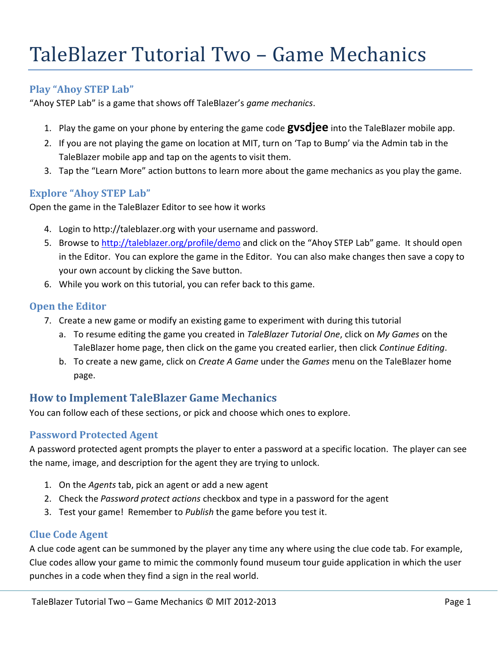# TaleBlazer Tutorial Two – Game Mechanics

## **Play "Ahoy STEP Lab"**

"Ahoy STEP Lab" is a game that shows off TaleBlazer's *game mechanics*.

- 1. Play the game on your phone by entering the game code **gvsdjee** into the TaleBlazer mobile app.
- 2. If you are not playing the game on location at MIT, turn on 'Tap to Bump' via the Admin tab in the TaleBlazer mobile app and tap on the agents to visit them.
- 3. Tap the "Learn More" action buttons to learn more about the game mechanics as you play the game.

#### **Explore "Ahoy STEP Lab"**

Open the game in the TaleBlazer Editor to see how it works

- 4. Login to http://taleblazer.org with your username and password.
- 5. Browse to <http://taleblazer.org/profile/demo> and click on the "Ahoy STEP Lab" game. It should open in the Editor. You can explore the game in the Editor. You can also make changes then save a copy to your own account by clicking the Save button.
- 6. While you work on this tutorial, you can refer back to this game.

#### **Open the Editor**

- 7. Create a new game or modify an existing game to experiment with during this tutorial
	- a. To resume editing the game you created in *TaleBlazer Tutorial One*, click on *My Games* on the TaleBlazer home page, then click on the game you created earlier, then click *Continue Editing*.
	- b. To create a new game, click on *Create A Game* under the *Games* menu on the TaleBlazer home page.

# **How to Implement TaleBlazer Game Mechanics**

You can follow each of these sections, or pick and choose which ones to explore.

## **Password Protected Agent**

A password protected agent prompts the player to enter a password at a specific location. The player can see the name, image, and description for the agent they are trying to unlock.

- 1. On the *Agents* tab, pick an agent or add a new agent
- 2. Check the *Password protect actions* checkbox and type in a password for the agent
- 3. Test your game! Remember to *Publish* the game before you test it.

#### **Clue Code Agent**

A clue code agent can be summoned by the player any time any where using the clue code tab. For example, Clue codes allow your game to mimic the commonly found museum tour guide application in which the user punches in a code when they find a sign in the real world.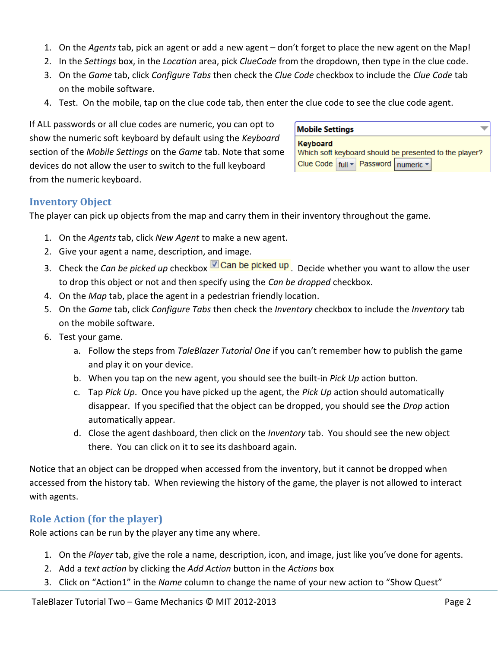- 1. On the *Agents* tab, pick an agent or add a new agent don't forget to place the new agent on the Map!
- 2. In the *Settings* box, in the *Location* area, pick *ClueCode* from the dropdown, then type in the clue code.
- 3. On the *Game* tab, click *Configure Tabs* then check the *Clue Code* checkbox to include the *Clue Code* tab on the mobile software.
- 4. Test. On the mobile, tap on the clue code tab, then enter the clue code to see the clue code agent.

If ALL passwords or all clue codes are numeric, you can opt to show the numeric soft keyboard by default using the *Keyboard*  section of the *Mobile Settings* on the *Game* tab. Note that some devices do not allow the user to switch to the full keyboard from the numeric keyboard.

# **Mobile Settings**

| Keyboard                                               |  |  |  |  |
|--------------------------------------------------------|--|--|--|--|
| Which soft keyboard should be presented to the player? |  |  |  |  |
| Clue Code   full - Password   numeric -                |  |  |  |  |

÷

#### **Inventory Object**

The player can pick up objects from the map and carry them in their inventory throughout the game.

- 1. On the *Agents* tab, click *New Agent* to make a new agent.
- 2. Give your agent a name, description, and image.
- 3. Check the *Can be picked up* checkbox **D** Can be picked up . Decide whether you want to allow the user to drop this object or not and then specify using the *Can be dropped* checkbox.
- 4. On the *Map* tab, place the agent in a pedestrian friendly location.
- 5. On the *Game* tab, click *Configure Tabs* then check the *Inventory* checkbox to include the *Inventory* tab on the mobile software.
- 6. Test your game.
	- a. Follow the steps from *TaleBlazer Tutorial One* if you can't remember how to publish the game and play it on your device.
	- b. When you tap on the new agent, you should see the built-in *Pick Up* action button.
	- c. Tap *Pick Up*. Once you have picked up the agent, the *Pick Up* action should automatically disappear. If you specified that the object can be dropped, you should see the *Drop* action automatically appear.
	- d. Close the agent dashboard, then click on the *Inventory* tab. You should see the new object there. You can click on it to see its dashboard again.

Notice that an object can be dropped when accessed from the inventory, but it cannot be dropped when accessed from the history tab. When reviewing the history of the game, the player is not allowed to interact with agents.

# **Role Action (for the player)**

Role actions can be run by the player any time any where.

- 1. On the *Player* tab, give the role a name, description, icon, and image, just like you've done for agents.
- 2. Add a *text action* by clicking the *Add Action* button in the *Actions* box
- 3. Click on "Action1" in the *Name* column to change the name of your new action to "Show Quest"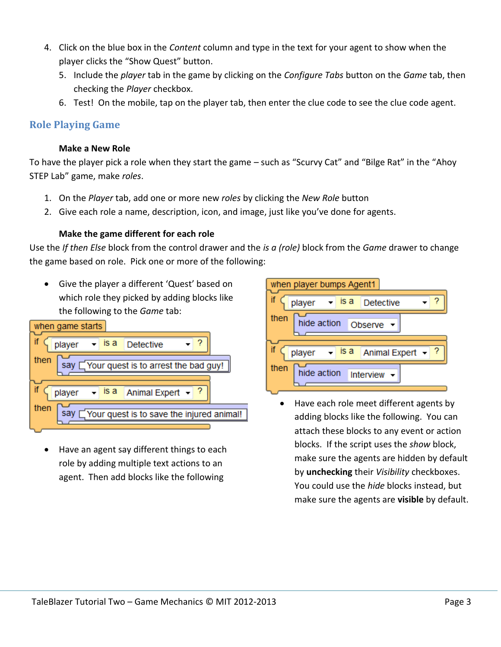- 4. Click on the blue box in the *Content* column and type in the text for your agent to show when the player clicks the "Show Quest" button.
	- 5. Include the *player* tab in the game by clicking on the *Configure Tabs* button on the *Game* tab, then checking the *Player* checkbox.
	- 6. Test! On the mobile, tap on the player tab, then enter the clue code to see the clue code agent.

## **Role Playing Game**

#### **Make a New Role**

To have the player pick a role when they start the game – such as "Scurvy Cat" and "Bilge Rat" in the "Ahoy STEP Lab" game, make *roles*.

- 1. On the *Player* tab, add one or more new *roles* by clicking the *New Role* button
- 2. Give each role a name, description, icon, and image, just like you've done for agents.

#### **Make the game different for each role**

Use the *If then Else* block from the control drawer and the *is a (role)* block from the *Game* drawer to change the game based on role. Pick one or more of the following:

 Give the player a different 'Quest' based on which role they picked by adding blocks like the following to the *Game* tab:



 Have an agent say different things to each role by adding multiple text actions to an agent. Then add blocks like the following



• Have each role meet different agents by adding blocks like the following. You can attach these blocks to any event or action blocks. If the script uses the *show* block, make sure the agents are hidden by default by **unchecking** their *Visibility* checkboxes. You could use the *hide* blocks instead, but make sure the agents are **visible** by default.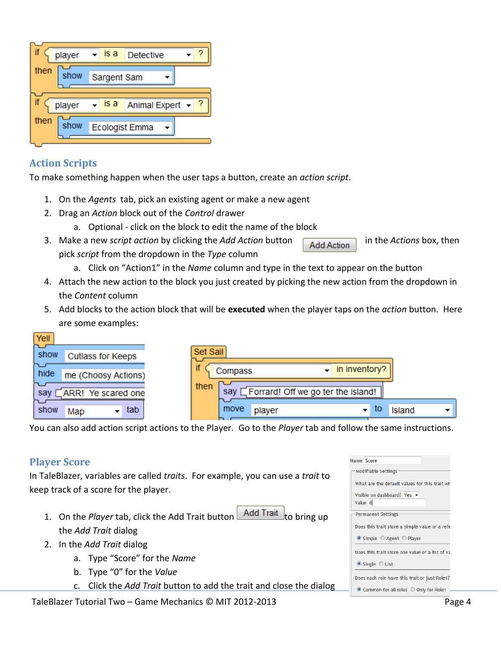| player       | is a                  | <b>Detective</b> |  |
|--------------|-----------------------|------------------|--|
| then<br>show | Sargent Sam           |                  |  |
| player       | is a                  | Animal Expert +  |  |
| then<br>show | <b>Ecologist Emma</b> |                  |  |

# **Action Scripts**

To make something happen when the user taps a button, create an *action script*.

- 1. On the *Agents* tab, pick an existing agent or make a new agent
- 2. Drag an *Action* block out of the *Control* drawer
	- a. Optional click on the block to edit the name of the block
- 3. Make a new *script action* by clicking the *Add Action* button **Add Action** in the *Actions* box, then pick *script* from the dropdown in the *Type* column
	- a. Click on "Action1" in the *Name* column and type in the text to appear on the button
- 4. Attach the new action to the block you just created by picking the new action from the dropdown in the *Content* column
- 5. Add blocks to the action block that will be **executed** when the player taps on the *action* button. Here are some examples:

| Yell                             |                                                 |
|----------------------------------|-------------------------------------------------|
| show<br><b>Cutlass for Keeps</b> | Set Sail                                        |
| hide<br>me (Choosy Actions)      | in inventory?<br>Compass<br>$\bullet$           |
| ARR! Ye scared one<br>sav        | then<br>say [Forrard! Off we go ter the island! |
| tab<br>show<br>Map               | to<br>move<br>▾<br>Island<br>player             |

You can also add action script actions to the Player. Go to the *Player* tab and follow the same instructions.

# **Player Score**

In TaleBlazer, variables are called *traits*. For example, you can use a *trait* to keep track of a score for the player.

- 1. On the *Player* tab, click the Add Trait button **Add Trait** to bring up the *Add Trait* dialog
- 2. In the *Add Trait* dialog
	- a. Type "Score" for the *Name*
	- b. Type "0" for the *Value*
	- c. Click the *Add Trait* button to add the trait and close the dialog

|                                             | Name Score                                                  |  |  |  |  |  |
|---------------------------------------------|-------------------------------------------------------------|--|--|--|--|--|
|                                             | Modifiable Settings                                         |  |  |  |  |  |
|                                             | What are the default values for this trait wh               |  |  |  |  |  |
| Visible on dashboard? Yes $\sim$<br>Value 0 |                                                             |  |  |  |  |  |
|                                             | <b>Permanent Settings</b>                                   |  |  |  |  |  |
|                                             | Does this trait store a simple value or a refe              |  |  |  |  |  |
|                                             | $\bullet$ Simple $\circledcirc$ Agent $\circledcirc$ Player |  |  |  |  |  |
|                                             | Does this trait store one value or a list of va             |  |  |  |  |  |
|                                             | $\bullet$ Single $\circ$ List                               |  |  |  |  |  |
|                                             | Does each role have this trait or just Role1?               |  |  |  |  |  |
|                                             | ◎ Common for all roles ◎ Only for Role1                     |  |  |  |  |  |
|                                             |                                                             |  |  |  |  |  |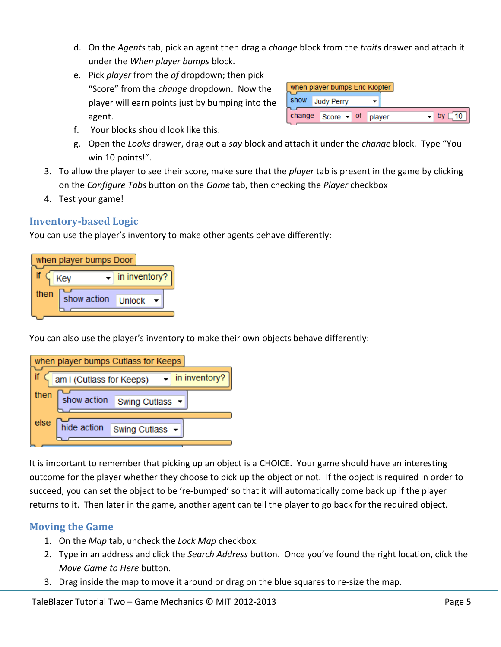- d. On the *Agents* tab, pick an agent then drag a *change* block from the *traits* drawer and attach it under the *When player bumps* block.
- e. Pick *player* from the *of* dropdown; then pick "Score" from the *change* dropdown. Now the player will earn points just by bumping into the agent.

| when player bumps Eric Klopfer |                     |  |        |          |
|--------------------------------|---------------------|--|--------|----------|
| show                           | <b>Judy Perry</b>   |  |        |          |
|                                | change $Score - of$ |  | player | 10<br>bv |

- f. Your blocks should look like this:
- g. Open the *Looks* drawer, drag out a *say* block and attach it under the *change* block. Type "You win 10 points!".
- 3. To allow the player to see their score, make sure that the *player* tab is present in the game by clicking on the *Configure Tabs* button on the *Game* tab, then checking the *Player* checkbox
- 4. Test your game!

# **Inventory-based Logic**

You can use the player's inventory to make other agents behave differently:



You can also use the player's inventory to make their own objects behave differently:



It is important to remember that picking up an object is a CHOICE. Your game should have an interesting outcome for the player whether they choose to pick up the object or not. If the object is required in order to succeed, you can set the object to be 're-bumped' so that it will automatically come back up if the player returns to it. Then later in the game, another agent can tell the player to go back for the required object.

# **Moving the Game**

- 1. On the *Map* tab, uncheck the *Lock Map* checkbox.
- 2. Type in an address and click the *Search Address* button. Once you've found the right location, click the *Move Game to Here* button.
- 3. Drag inside the map to move it around or drag on the blue squares to re-size the map.